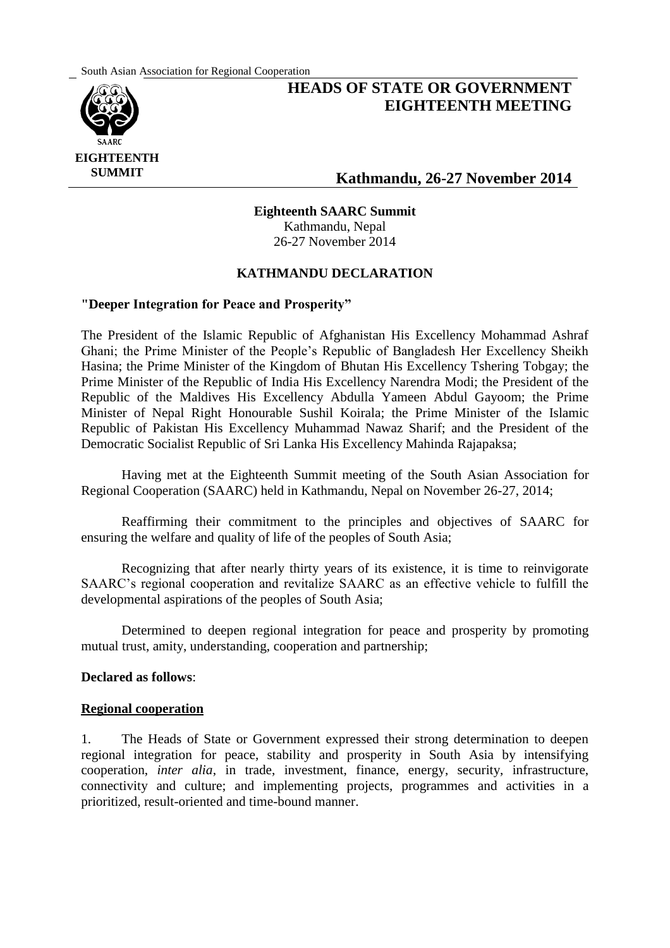South Asian Association for Regional Cooperation



# **HEADS OF STATE OR GOVERNMENT EIGHTEENTH MEETING**

## **Kathmandu, 26-27 November 2014**

#### **Eighteenth SAARC Summit** Kathmandu, Nepal

26-27 November 2014

## **KATHMANDU DECLARATION**

#### **"Deeper Integration for Peace and Prosperity"**

The President of the Islamic Republic of Afghanistan His Excellency Mohammad Ashraf Ghani; the Prime Minister of the People's Republic of Bangladesh Her Excellency Sheikh Hasina; the Prime Minister of the Kingdom of Bhutan His Excellency Tshering Tobgay; the Prime Minister of the Republic of India His Excellency Narendra Modi; the President of the Republic of the Maldives His Excellency Abdulla Yameen Abdul Gayoom; the Prime Minister of Nepal Right Honourable Sushil Koirala; the Prime Minister of the Islamic Republic of Pakistan His Excellency Muhammad Nawaz Sharif; and the President of the Democratic Socialist Republic of Sri Lanka His Excellency Mahinda Rajapaksa;

Having met at the Eighteenth Summit meeting of the South Asian Association for Regional Cooperation (SAARC) held in Kathmandu, Nepal on November 26-27, 2014;

Reaffirming their commitment to the principles and objectives of SAARC for ensuring the welfare and quality of life of the peoples of South Asia;

Recognizing that after nearly thirty years of its existence, it is time to reinvigorate SAARC's regional cooperation and revitalize SAARC as an effective vehicle to fulfill the developmental aspirations of the peoples of South Asia;

Determined to deepen regional integration for peace and prosperity by promoting mutual trust, amity, understanding, cooperation and partnership;

#### **Declared as follows**:

#### **Regional cooperation**

1. The Heads of State or Government expressed their strong determination to deepen regional integration for peace, stability and prosperity in South Asia by intensifying cooperation, *inter alia*, in trade, investment, finance, energy, security, infrastructure, connectivity and culture; and implementing projects, programmes and activities in a prioritized, result-oriented and time-bound manner.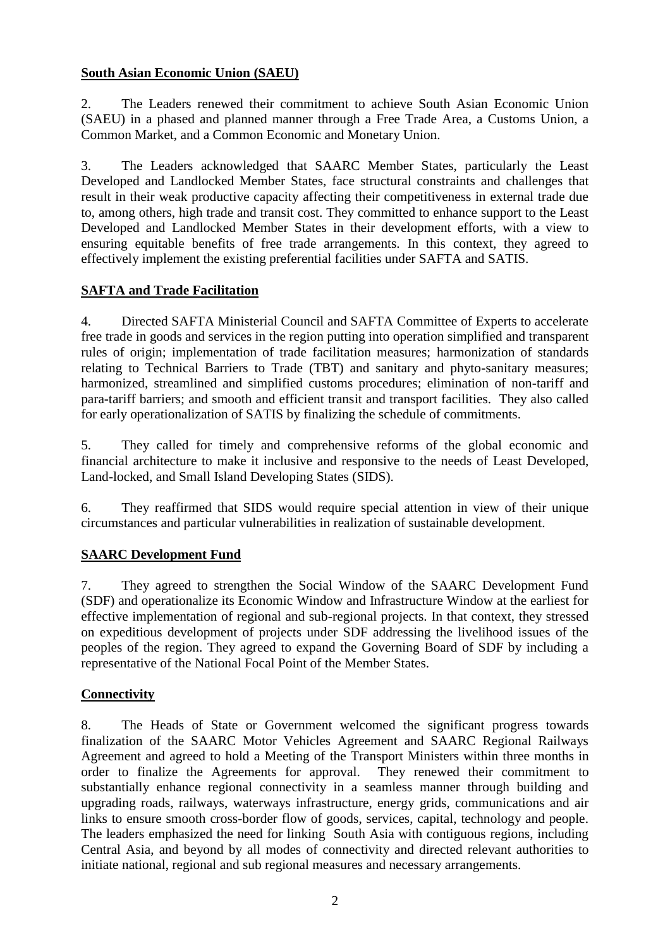## **South Asian Economic Union (SAEU)**

2. The Leaders renewed their commitment to achieve South Asian Economic Union (SAEU) in a phased and planned manner through a Free Trade Area, a Customs Union, a Common Market, and a Common Economic and Monetary Union.

3. The Leaders acknowledged that SAARC Member States, particularly the Least Developed and Landlocked Member States, face structural constraints and challenges that result in their weak productive capacity affecting their competitiveness in external trade due to, among others, high trade and transit cost. They committed to enhance support to the Least Developed and Landlocked Member States in their development efforts, with a view to ensuring equitable benefits of free trade arrangements. In this context, they agreed to effectively implement the existing preferential facilities under SAFTA and SATIS.

## **SAFTA and Trade Facilitation**

4. Directed SAFTA Ministerial Council and SAFTA Committee of Experts to accelerate free trade in goods and services in the region putting into operation simplified and transparent rules of origin; implementation of trade facilitation measures; harmonization of standards relating to Technical Barriers to Trade (TBT) and sanitary and phyto-sanitary measures; harmonized, streamlined and simplified customs procedures; elimination of non-tariff and para-tariff barriers; and smooth and efficient transit and transport facilities. They also called for early operationalization of SATIS by finalizing the schedule of commitments.

5. They called for timely and comprehensive reforms of the global economic and financial architecture to make it inclusive and responsive to the needs of Least Developed, Land-locked, and Small Island Developing States (SIDS).

6. They reaffirmed that SIDS would require special attention in view of their unique circumstances and particular vulnerabilities in realization of sustainable development.

#### **SAARC Development Fund**

7. They agreed to strengthen the Social Window of the SAARC Development Fund (SDF) and operationalize its Economic Window and Infrastructure Window at the earliest for effective implementation of regional and sub-regional projects. In that context, they stressed on expeditious development of projects under SDF addressing the livelihood issues of the peoples of the region. They agreed to expand the Governing Board of SDF by including a representative of the National Focal Point of the Member States.

#### **Connectivity**

8. The Heads of State or Government welcomed the significant progress towards finalization of the SAARC Motor Vehicles Agreement and SAARC Regional Railways Agreement and agreed to hold a Meeting of the Transport Ministers within three months in order to finalize the Agreements for approval. They renewed their commitment to substantially enhance regional connectivity in a seamless manner through building and upgrading roads, railways, waterways infrastructure, energy grids, communications and air links to ensure smooth cross-border flow of goods, services, capital, technology and people. The leaders emphasized the need for linking South Asia with contiguous regions, including Central Asia, and beyond by all modes of connectivity and directed relevant authorities to initiate national, regional and sub regional measures and necessary arrangements.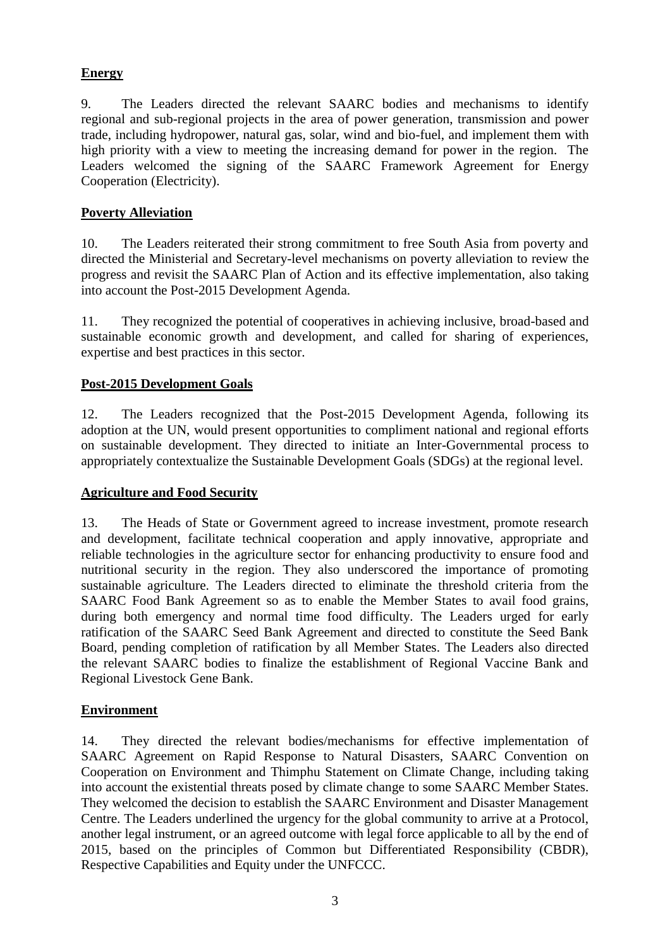## **Energy**

9. The Leaders directed the relevant SAARC bodies and mechanisms to identify regional and sub-regional projects in the area of power generation, transmission and power trade, including hydropower, natural gas, solar, wind and bio-fuel, and implement them with high priority with a view to meeting the increasing demand for power in the region. The Leaders welcomed the signing of the SAARC Framework Agreement for Energy Cooperation (Electricity).

## **Poverty Alleviation**

10. The Leaders reiterated their strong commitment to free South Asia from poverty and directed the Ministerial and Secretary-level mechanisms on poverty alleviation to review the progress and revisit the SAARC Plan of Action and its effective implementation, also taking into account the Post-2015 Development Agenda.

11. They recognized the potential of cooperatives in achieving inclusive, broad-based and sustainable economic growth and development, and called for sharing of experiences, expertise and best practices in this sector.

## **Post-2015 Development Goals**

12. The Leaders recognized that the Post-2015 Development Agenda, following its adoption at the UN, would present opportunities to compliment national and regional efforts on sustainable development. They directed to initiate an Inter-Governmental process to appropriately contextualize the Sustainable Development Goals (SDGs) at the regional level.

#### **Agriculture and Food Security**

13. The Heads of State or Government agreed to increase investment, promote research and development, facilitate technical cooperation and apply innovative, appropriate and reliable technologies in the agriculture sector for enhancing productivity to ensure food and nutritional security in the region. They also underscored the importance of promoting sustainable agriculture. The Leaders directed to eliminate the threshold criteria from the SAARC Food Bank Agreement so as to enable the Member States to avail food grains, during both emergency and normal time food difficulty. The Leaders urged for early ratification of the SAARC Seed Bank Agreement and directed to constitute the Seed Bank Board, pending completion of ratification by all Member States. The Leaders also directed the relevant SAARC bodies to finalize the establishment of Regional Vaccine Bank and Regional Livestock Gene Bank.

#### **Environment**

14. They directed the relevant bodies/mechanisms for effective implementation of SAARC Agreement on Rapid Response to Natural Disasters, SAARC Convention on Cooperation on Environment and Thimphu Statement on Climate Change, including taking into account the existential threats posed by climate change to some SAARC Member States. They welcomed the decision to establish the SAARC Environment and Disaster Management Centre. The Leaders underlined the urgency for the global community to arrive at a Protocol, another legal instrument, or an agreed outcome with legal force applicable to all by the end of 2015, based on the principles of Common but Differentiated Responsibility (CBDR), Respective Capabilities and Equity under the UNFCCC.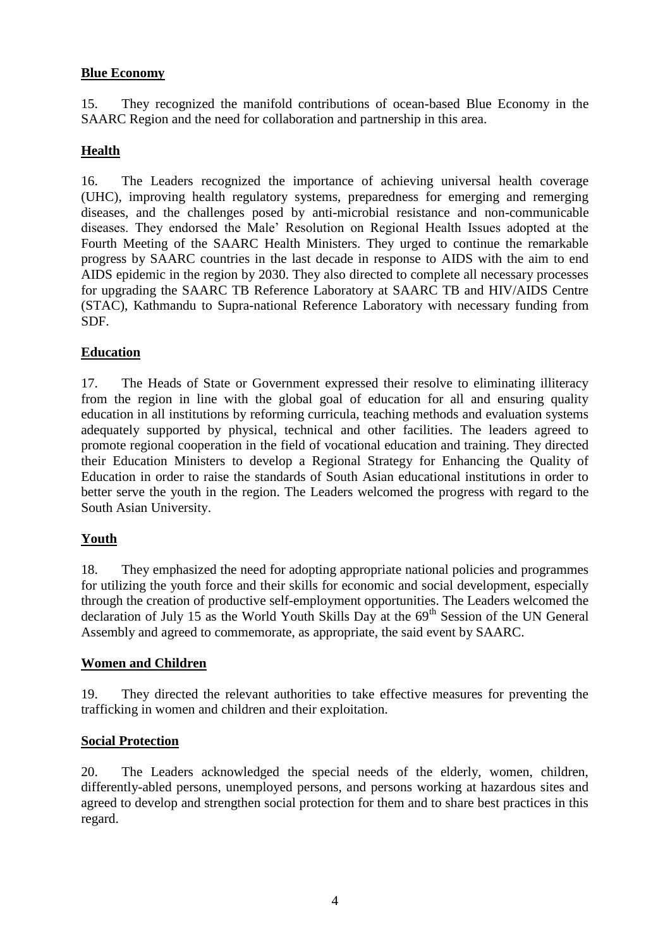#### **Blue Economy**

15. They recognized the manifold contributions of ocean-based Blue Economy in the SAARC Region and the need for collaboration and partnership in this area.

## **Health**

16. The Leaders recognized the importance of achieving universal health coverage (UHC), improving health regulatory systems, preparedness for emerging and remerging diseases, and the challenges posed by anti-microbial resistance and non-communicable diseases. They endorsed the Male' Resolution on Regional Health Issues adopted at the Fourth Meeting of the SAARC Health Ministers. They urged to continue the remarkable progress by SAARC countries in the last decade in response to AIDS with the aim to end AIDS epidemic in the region by 2030. They also directed to complete all necessary processes for upgrading the SAARC TB Reference Laboratory at SAARC TB and HIV/AIDS Centre (STAC), Kathmandu to Supra-national Reference Laboratory with necessary funding from SDF.

#### **Education**

17. The Heads of State or Government expressed their resolve to eliminating illiteracy from the region in line with the global goal of education for all and ensuring quality education in all institutions by reforming curricula, teaching methods and evaluation systems adequately supported by physical, technical and other facilities. The leaders agreed to promote regional cooperation in the field of vocational education and training. They directed their Education Ministers to develop a Regional Strategy for Enhancing the Quality of Education in order to raise the standards of South Asian educational institutions in order to better serve the youth in the region. The Leaders welcomed the progress with regard to the South Asian University.

#### **Youth**

18. They emphasized the need for adopting appropriate national policies and programmes for utilizing the youth force and their skills for economic and social development, especially through the creation of productive self-employment opportunities. The Leaders welcomed the declaration of July 15 as the World Youth Skills Day at the  $69<sup>th</sup>$  Session of the UN General Assembly and agreed to commemorate, as appropriate, the said event by SAARC.

#### **Women and Children**

19. They directed the relevant authorities to take effective measures for preventing the trafficking in women and children and their exploitation.

#### **Social Protection**

20. The Leaders acknowledged the special needs of the elderly, women, children, differently-abled persons, unemployed persons, and persons working at hazardous sites and agreed to develop and strengthen social protection for them and to share best practices in this regard.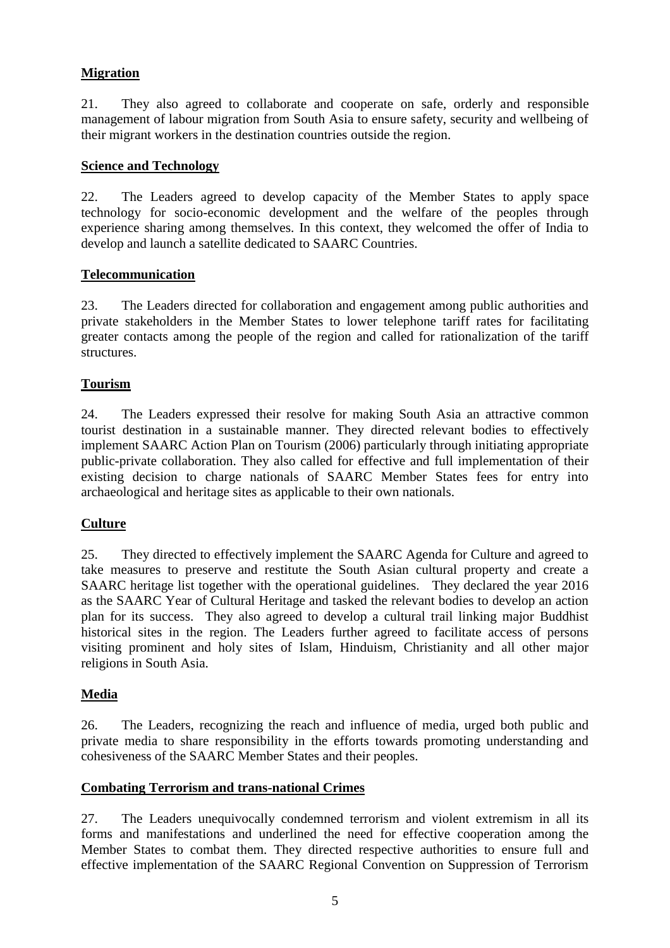## **Migration**

21. They also agreed to collaborate and cooperate on safe, orderly and responsible management of labour migration from South Asia to ensure safety, security and wellbeing of their migrant workers in the destination countries outside the region.

#### **Science and Technology**

22. The Leaders agreed to develop capacity of the Member States to apply space technology for socio-economic development and the welfare of the peoples through experience sharing among themselves. In this context, they welcomed the offer of India to develop and launch a satellite dedicated to SAARC Countries.

#### **Telecommunication**

23. The Leaders directed for collaboration and engagement among public authorities and private stakeholders in the Member States to lower telephone tariff rates for facilitating greater contacts among the people of the region and called for rationalization of the tariff structures.

#### **Tourism**

24. The Leaders expressed their resolve for making South Asia an attractive common tourist destination in a sustainable manner. They directed relevant bodies to effectively implement SAARC Action Plan on Tourism (2006) particularly through initiating appropriate public-private collaboration. They also called for effective and full implementation of their existing decision to charge nationals of SAARC Member States fees for entry into archaeological and heritage sites as applicable to their own nationals.

#### **Culture**

25. They directed to effectively implement the SAARC Agenda for Culture and agreed to take measures to preserve and restitute the South Asian cultural property and create a SAARC heritage list together with the operational guidelines. They declared the year 2016 as the SAARC Year of Cultural Heritage and tasked the relevant bodies to develop an action plan for its success. They also agreed to develop a cultural trail linking major Buddhist historical sites in the region. The Leaders further agreed to facilitate access of persons visiting prominent and holy sites of Islam, Hinduism, Christianity and all other major religions in South Asia.

#### **Media**

26. The Leaders, recognizing the reach and influence of media, urged both public and private media to share responsibility in the efforts towards promoting understanding and cohesiveness of the SAARC Member States and their peoples.

#### **Combating Terrorism and trans-national Crimes**

27. The Leaders unequivocally condemned terrorism and violent extremism in all its forms and manifestations and underlined the need for effective cooperation among the Member States to combat them. They directed respective authorities to ensure full and effective implementation of the SAARC Regional Convention on Suppression of Terrorism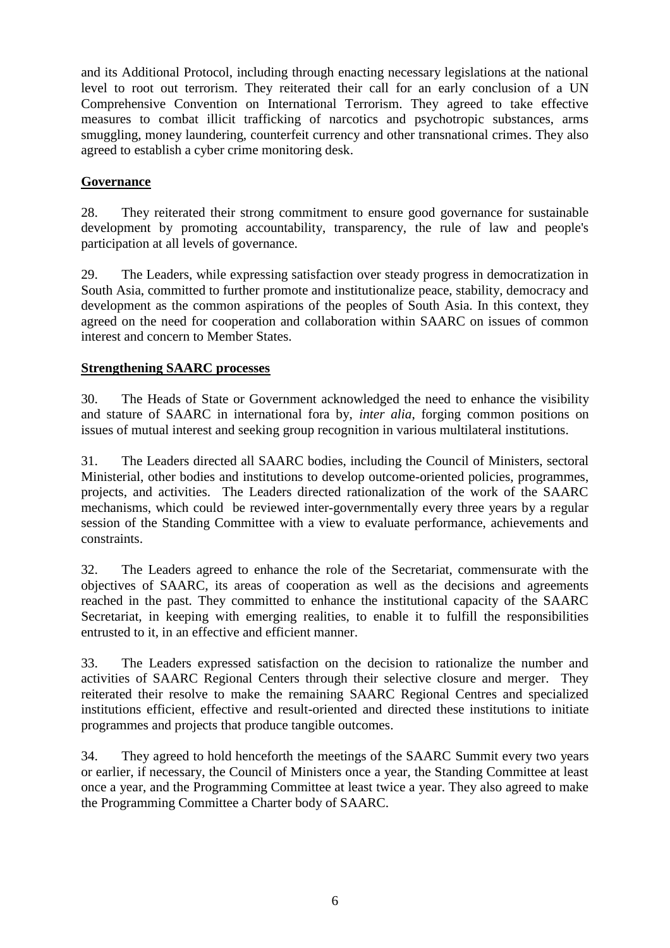and its Additional Protocol, including through enacting necessary legislations at the national level to root out terrorism. They reiterated their call for an early conclusion of a UN Comprehensive Convention on International Terrorism. They agreed to take effective measures to combat illicit trafficking of narcotics and psychotropic substances, arms smuggling, money laundering, counterfeit currency and other transnational crimes. They also agreed to establish a cyber crime monitoring desk.

## **Governance**

28. They reiterated their strong commitment to ensure good governance for sustainable development by promoting accountability, transparency, the rule of law and people's participation at all levels of governance.

29. The Leaders, while expressing satisfaction over steady progress in democratization in South Asia, committed to further promote and institutionalize peace, stability, democracy and development as the common aspirations of the peoples of South Asia. In this context, they agreed on the need for cooperation and collaboration within SAARC on issues of common interest and concern to Member States.

#### **Strengthening SAARC processes**

30. The Heads of State or Government acknowledged the need to enhance the visibility and stature of SAARC in international fora by, *inter alia*, forging common positions on issues of mutual interest and seeking group recognition in various multilateral institutions.

31. The Leaders directed all SAARC bodies, including the Council of Ministers, sectoral Ministerial, other bodies and institutions to develop outcome-oriented policies, programmes, projects, and activities. The Leaders directed rationalization of the work of the SAARC mechanisms, which could be reviewed inter-governmentally every three years by a regular session of the Standing Committee with a view to evaluate performance, achievements and constraints.

32. The Leaders agreed to enhance the role of the Secretariat, commensurate with the objectives of SAARC, its areas of cooperation as well as the decisions and agreements reached in the past. They committed to enhance the institutional capacity of the SAARC Secretariat, in keeping with emerging realities, to enable it to fulfill the responsibilities entrusted to it, in an effective and efficient manner.

33. The Leaders expressed satisfaction on the decision to rationalize the number and activities of SAARC Regional Centers through their selective closure and merger. They reiterated their resolve to make the remaining SAARC Regional Centres and specialized institutions efficient, effective and result-oriented and directed these institutions to initiate programmes and projects that produce tangible outcomes.

34. They agreed to hold henceforth the meetings of the SAARC Summit every two years or earlier, if necessary, the Council of Ministers once a year, the Standing Committee at least once a year, and the Programming Committee at least twice a year. They also agreed to make the Programming Committee a Charter body of SAARC.